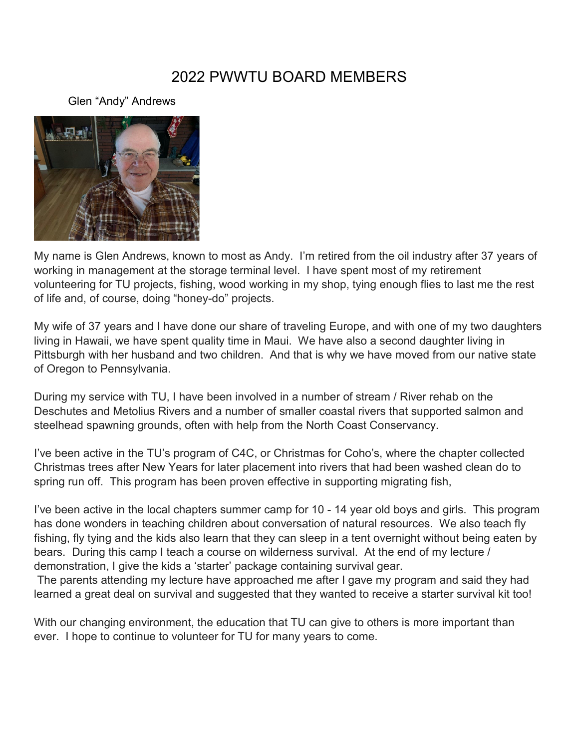# 2022 PWWTU BOARD MEMBERS

Glen "Andy" Andrews



My name is Glen Andrews, known to most as Andy. I'm retired from the oil industry after 37 years of working in management at the storage terminal level. I have spent most of my retirement volunteering for TU projects, fishing, wood working in my shop, tying enough flies to last me the rest of life and, of course, doing "honey-do" projects.

My wife of 37 years and I have done our share of traveling Europe, and with one of my two daughters living in Hawaii, we have spent quality time in Maui. We have also a second daughter living in Pittsburgh with her husband and two children. And that is why we have moved from our native state of Oregon to Pennsylvania.

During my service with TU, I have been involved in a number of stream / River rehab on the Deschutes and Metolius Rivers and a number of smaller coastal rivers that supported salmon and steelhead spawning grounds, often with help from the North Coast Conservancy.

I've been active in the TU's program of C4C, or Christmas for Coho's, where the chapter collected Christmas trees after New Years for later placement into rivers that had been washed clean do to spring run off. This program has been proven effective in supporting migrating fish,

I've been active in the local chapters summer camp for 10 - 14 year old boys and girls. This program has done wonders in teaching children about conversation of natural resources. We also teach fly fishing, fly tying and the kids also learn that they can sleep in a tent overnight without being eaten by bears. During this camp I teach a course on wilderness survival. At the end of my lecture / demonstration, I give the kids a 'starter' package containing survival gear.

The parents attending my lecture have approached me after I gave my program and said they had learned a great deal on survival and suggested that they wanted to receive a starter survival kit too!

With our changing environment, the education that TU can give to others is more important than ever. I hope to continue to volunteer for TU for many years to come.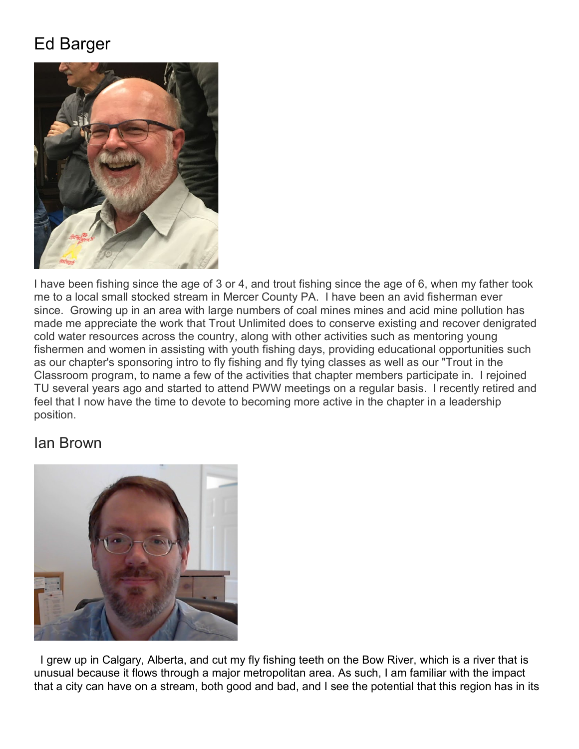# Ed Barger



I have been fishing since the age of 3 or 4, and trout fishing since the age of 6, when my father took me to a local small stocked stream in Mercer County PA. I have been an avid fisherman ever since. Growing up in an area with large numbers of coal mines mines and acid mine pollution has made me appreciate the work that Trout Unlimited does to conserve existing and recover denigrated cold water resources across the country, along with other activities such as mentoring young fishermen and women in assisting with youth fishing days, providing educational opportunities such as our chapter's sponsoring intro to fly fishing and fly tying classes as well as our "Trout in the Classroom program, to name a few of the activities that chapter members participate in. I rejoined TU several years ago and started to attend PWW meetings on a regular basis. I recently retired and feel that I now have the time to devote to becoming more active in the chapter in a leadership position.

#### Ian Brown



 I grew up in Calgary, Alberta, and cut my fly fishing teeth on the Bow River, which is a river that is unusual because it flows through a major metropolitan area. As such, I am familiar with the impact that a city can have on a stream, both good and bad, and I see the potential that this region has in its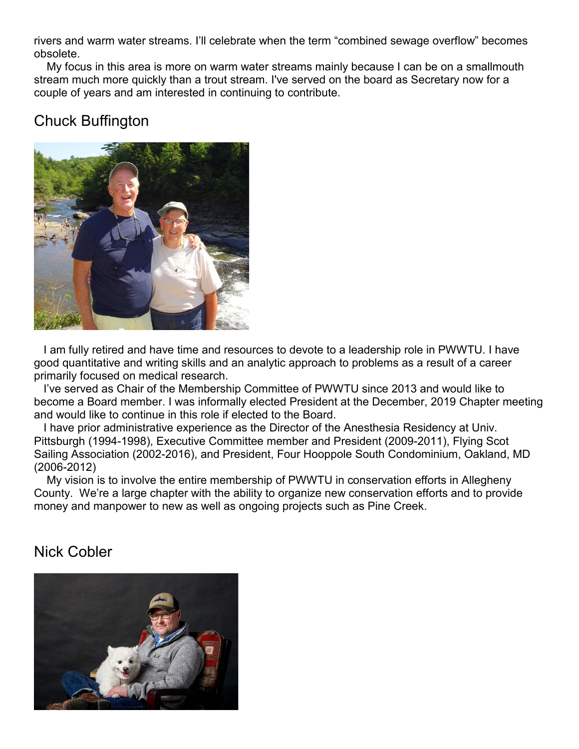rivers and warm water streams. I'll celebrate when the term "combined sewage overflow" becomes obsolete.

 My focus in this area is more on warm water streams mainly because I can be on a smallmouth stream much more quickly than a trout stream. I've served on the board as Secretary now for a couple of years and am interested in continuing to contribute.

# Chuck Buffington



 I am fully retired and have time and resources to devote to a leadership role in PWWTU. I have good quantitative and writing skills and an analytic approach to problems as a result of a career primarily focused on medical research.

 I've served as Chair of the Membership Committee of PWWTU since 2013 and would like to become a Board member. I was informally elected President at the December, 2019 Chapter meeting and would like to continue in this role if elected to the Board.

 I have prior administrative experience as the Director of the Anesthesia Residency at Univ. Pittsburgh (1994-1998), Executive Committee member and President (2009-2011), Flying Scot Sailing Association (2002-2016), and President, Four Hooppole South Condominium, Oakland, MD (2006-2012)

 My vision is to involve the entire membership of PWWTU in conservation efforts in Allegheny County. We're a large chapter with the ability to organize new conservation efforts and to provide money and manpower to new as well as ongoing projects such as Pine Creek.

# Nick Cobler

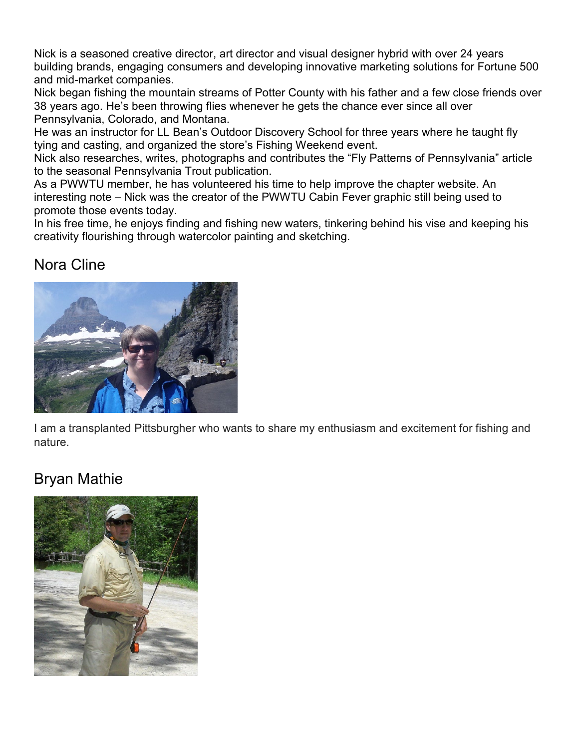Nick is a seasoned creative director, art director and visual designer hybrid with over 24 years building brands, engaging consumers and developing innovative marketing solutions for Fortune 500 and mid-market companies.

Nick began fishing the mountain streams of Potter County with his father and a few close friends over 38 years ago. He's been throwing flies whenever he gets the chance ever since all over Pennsylvania, Colorado, and Montana.

He was an instructor for LL Bean's Outdoor Discovery School for three years where he taught fly tying and casting, and organized the store's Fishing Weekend event.

Nick also researches, writes, photographs and contributes the "Fly Patterns of Pennsylvania" article to the seasonal Pennsylvania Trout publication.

As a PWWTU member, he has volunteered his time to help improve the chapter website. An interesting note – Nick was the creator of the PWWTU Cabin Fever graphic still being used to promote those events today.

In his free time, he enjoys finding and fishing new waters, tinkering behind his vise and keeping his creativity flourishing through watercolor painting and sketching.

# Nora Cline



I am a transplanted Pittsburgher who wants to share my enthusiasm and excitement for fishing and nature.

# Bryan Mathie

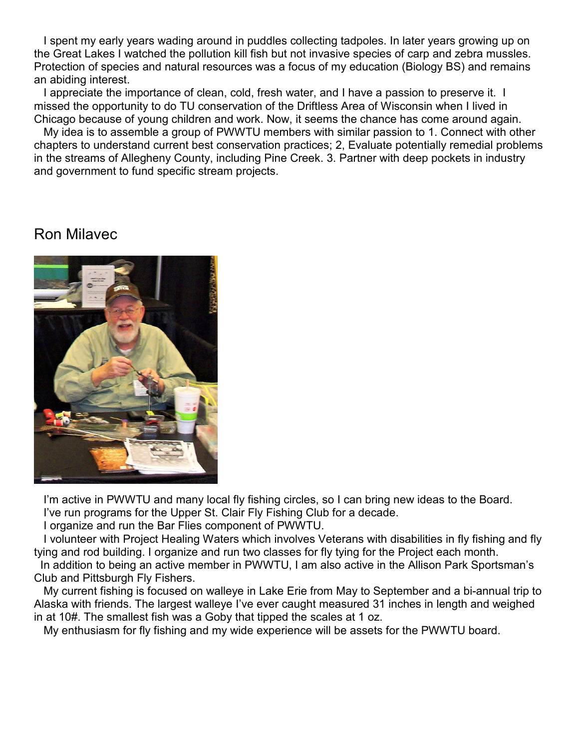I spent my early years wading around in puddles collecting tadpoles. In later years growing up on the Great Lakes I watched the pollution kill fish but not invasive species of carp and zebra mussles. Protection of species and natural resources was a focus of my education (Biology BS) and remains an abiding interest.

 I appreciate the importance of clean, cold, fresh water, and I have a passion to preserve it. I missed the opportunity to do TU conservation of the Driftless Area of Wisconsin when I lived in Chicago because of young children and work. Now, it seems the chance has come around again.

 My idea is to assemble a group of PWWTU members with similar passion to 1. Connect with other chapters to understand current best conservation practices; 2, Evaluate potentially remedial problems in the streams of Allegheny County, including Pine Creek. 3. Partner with deep pockets in industry and government to fund specific stream projects.

#### Ron Milavec



I'm active in PWWTU and many local fly fishing circles, so I can bring new ideas to the Board. I've run programs for the Upper St. Clair Fly Fishing Club for a decade.

I organize and run the Bar Flies component of PWWTU.

 I volunteer with Project Healing Waters which involves Veterans with disabilities in fly fishing and fly tying and rod building. I organize and run two classes for fly tying for the Project each month.

 In addition to being an active member in PWWTU, I am also active in the Allison Park Sportsman's Club and Pittsburgh Fly Fishers.

 My current fishing is focused on walleye in Lake Erie from May to September and a bi-annual trip to Alaska with friends. The largest walleye I've ever caught measured 31 inches in length and weighed in at 10#. The smallest fish was a Goby that tipped the scales at 1 oz.

My enthusiasm for fly fishing and my wide experience will be assets for the PWWTU board.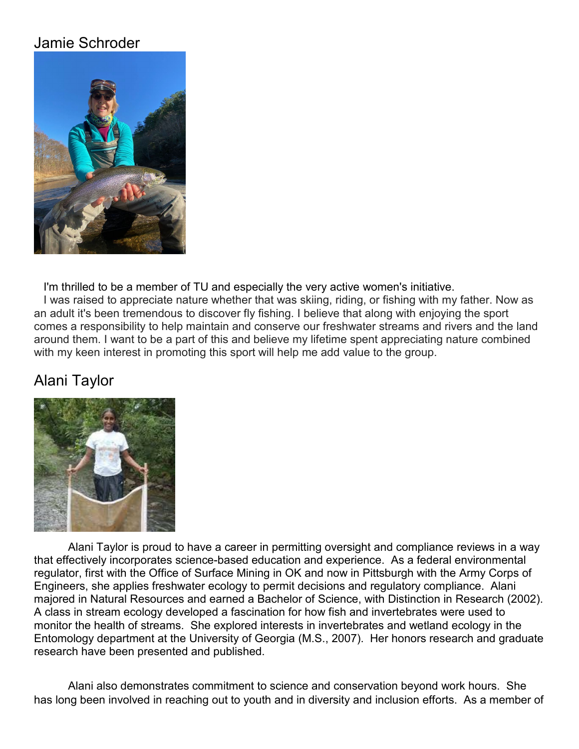# Jamie Schroder



I'm thrilled to be a member of TU and especially the very active women's initiative.

 I was raised to appreciate nature whether that was skiing, riding, or fishing with my father. Now as an adult it's been tremendous to discover fly fishing. I believe that along with enjoying the sport comes a responsibility to help maintain and conserve our freshwater streams and rivers and the land around them. I want to be a part of this and believe my lifetime spent appreciating nature combined with my keen interest in promoting this sport will help me add value to the group.

# Alani Taylor



Alani Taylor is proud to have a career in permitting oversight and compliance reviews in a way that effectively incorporates science-based education and experience. As a federal environmental regulator, first with the Office of Surface Mining in OK and now in Pittsburgh with the Army Corps of Engineers, she applies freshwater ecology to permit decisions and regulatory compliance. Alani majored in Natural Resources and earned a Bachelor of Science, with Distinction in Research (2002). A class in stream ecology developed a fascination for how fish and invertebrates were used to monitor the health of streams. She explored interests in invertebrates and wetland ecology in the Entomology department at the University of Georgia (M.S., 2007). Her honors research and graduate research have been presented and published.

Alani also demonstrates commitment to science and conservation beyond work hours. She has long been involved in reaching out to youth and in diversity and inclusion efforts. As a member of